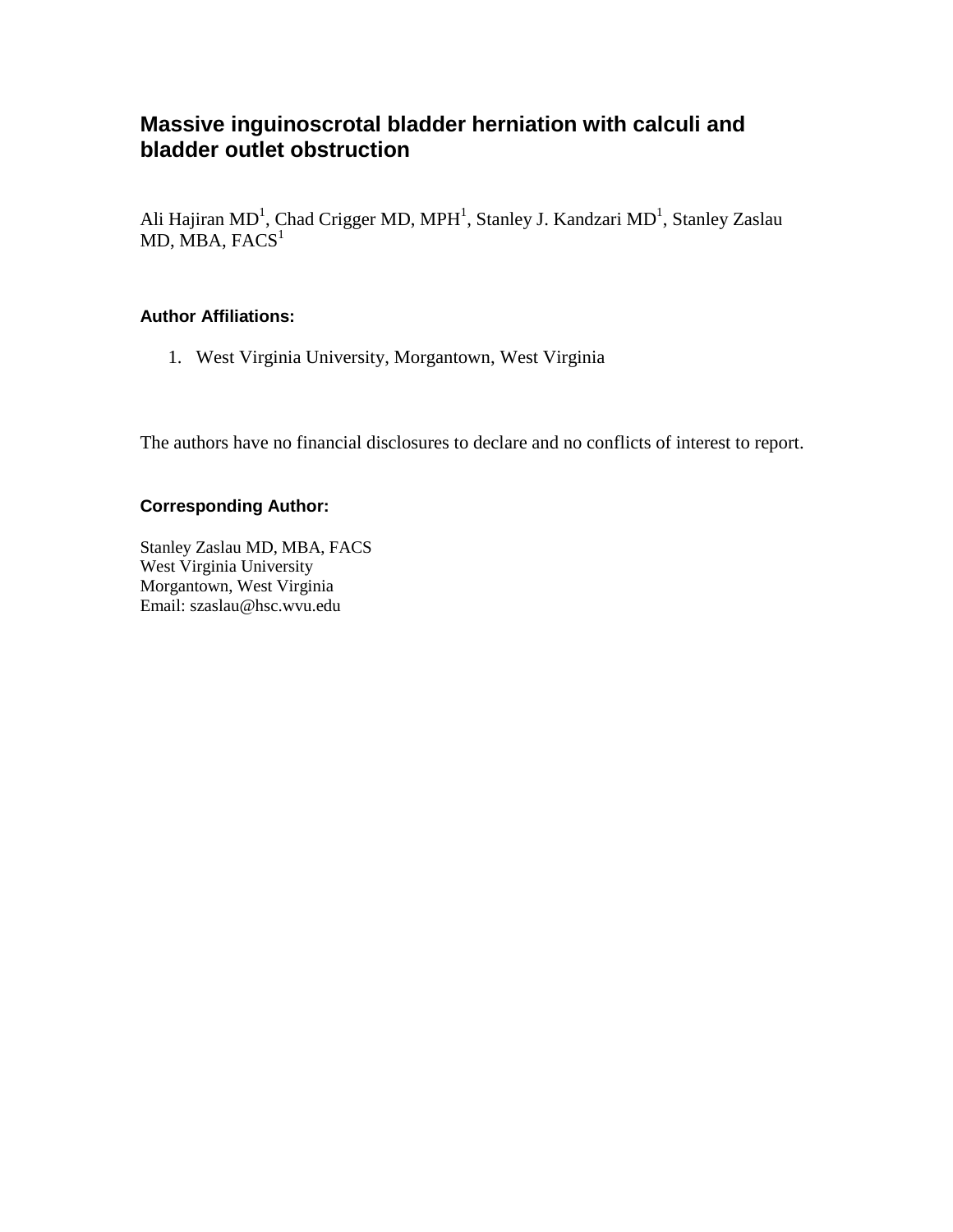# **Massive inguinoscrotal bladder herniation with calculi and bladder outlet obstruction**

Ali Hajiran MD<sup>1</sup>, Chad Crigger MD, MPH<sup>1</sup>, Stanley J. Kandzari MD<sup>1</sup>, Stanley Zaslau  $MD, MBA, FACS<sup>1</sup>$ 

#### **Author Affiliations:**

1. West Virginia University, Morgantown, West Virginia

The authors have no financial disclosures to declare and no conflicts of interest to report.

#### **Corresponding Author:**

Stanley Zaslau MD, MBA, FACS West Virginia University Morgantown, West Virginia Email: szaslau@hsc.wvu.edu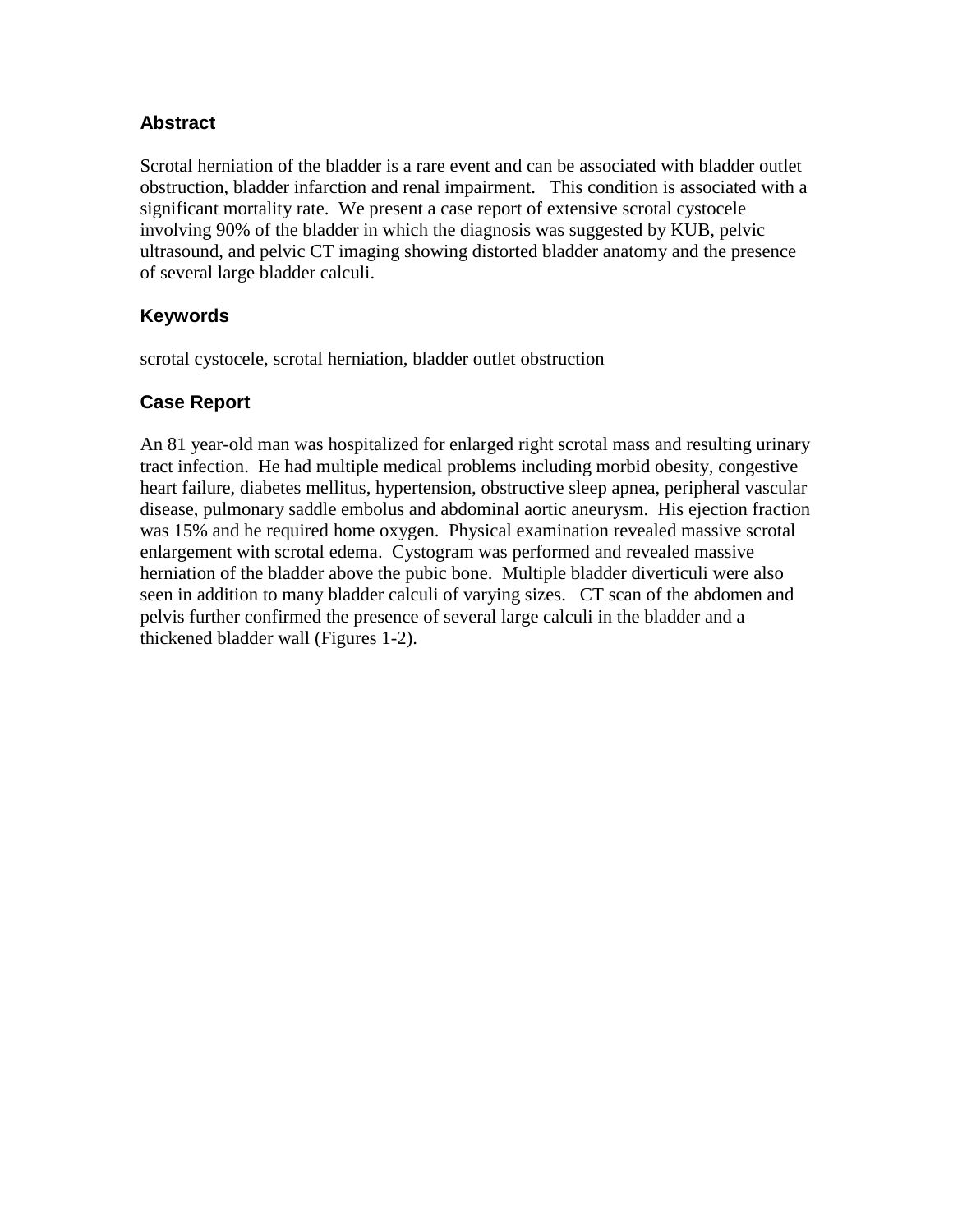## **Abstract**

Scrotal herniation of the bladder is a rare event and can be associated with bladder outlet obstruction, bladder infarction and renal impairment. This condition is associated with a significant mortality rate. We present a case report of extensive scrotal cystocele involving 90% of the bladder in which the diagnosis was suggested by KUB, pelvic ultrasound, and pelvic CT imaging showing distorted bladder anatomy and the presence of several large bladder calculi.

## **Keywords**

scrotal cystocele, scrotal herniation, bladder outlet obstruction

## **Case Report**

An 81 year-old man was hospitalized for enlarged right scrotal mass and resulting urinary tract infection. He had multiple medical problems including morbid obesity, congestive heart failure, diabetes mellitus, hypertension, obstructive sleep apnea, peripheral vascular disease, pulmonary saddle embolus and abdominal aortic aneurysm. His ejection fraction was 15% and he required home oxygen. Physical examination revealed massive scrotal enlargement with scrotal edema. Cystogram was performed and revealed massive herniation of the bladder above the pubic bone. Multiple bladder diverticuli were also seen in addition to many bladder calculi of varying sizes. CT scan of the abdomen and pelvis further confirmed the presence of several large calculi in the bladder and a thickened bladder wall (Figures 1-2).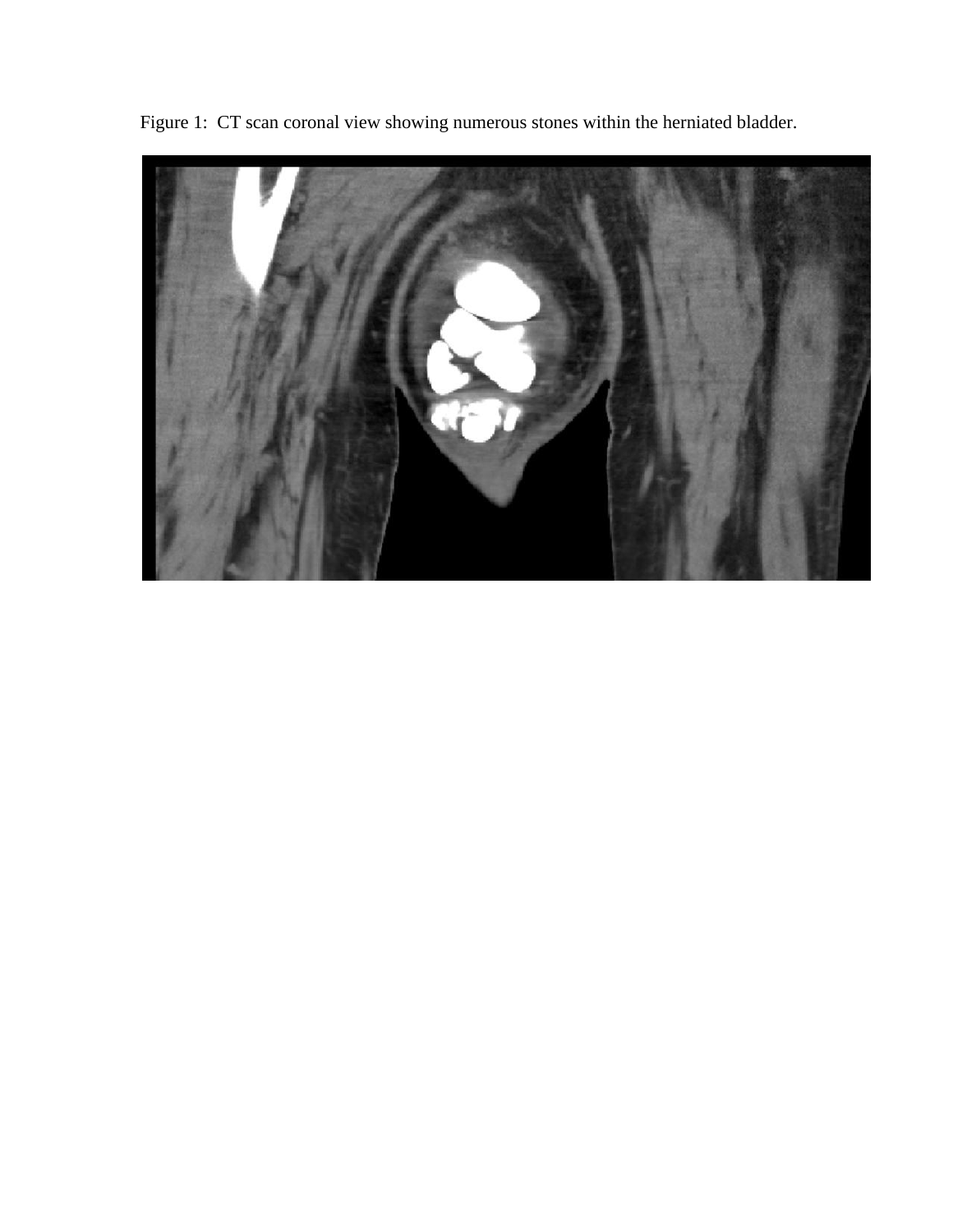

Figure 1: CT scan coronal view showing numerous stones within the herniated bladder.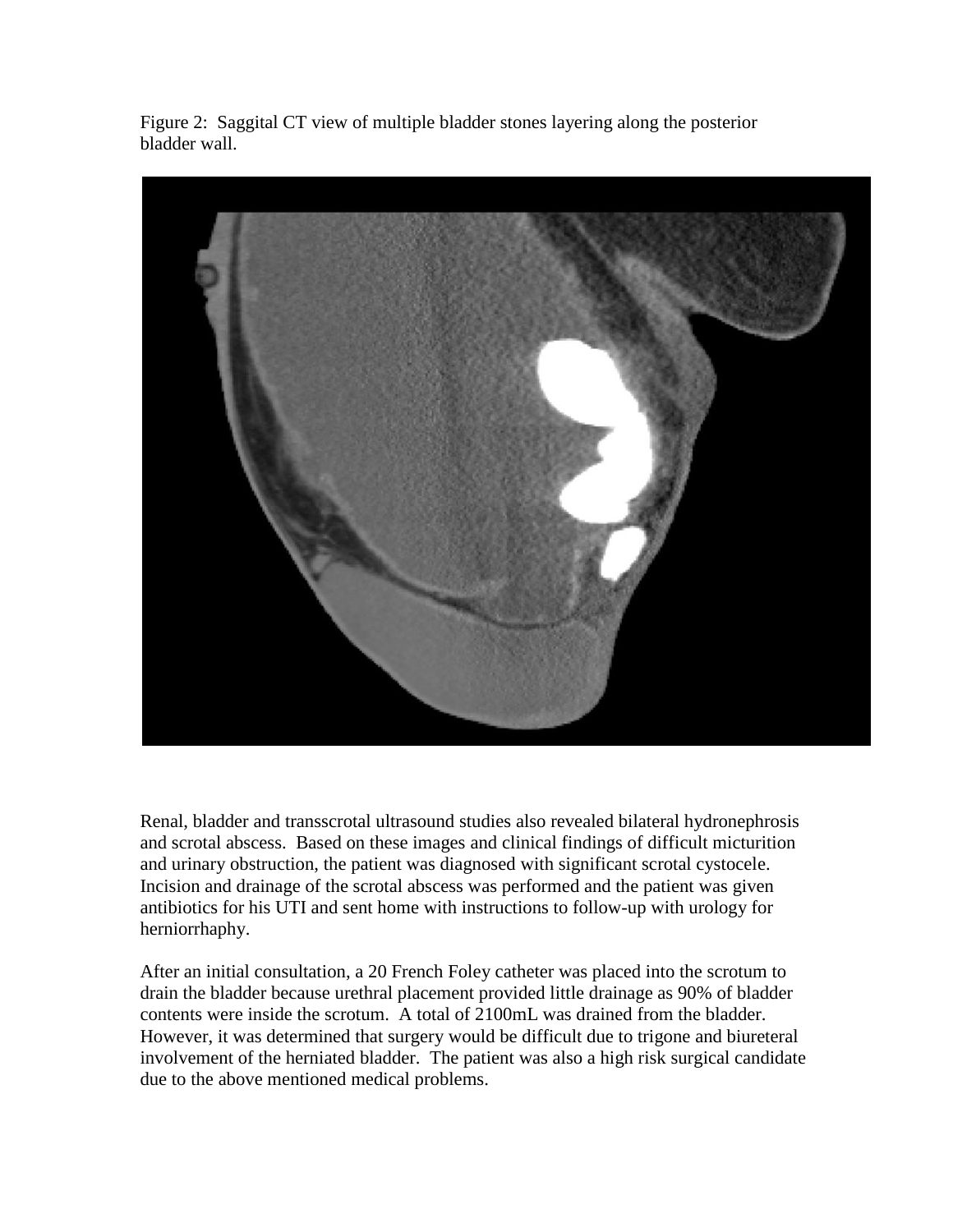Figure 2: Saggital CT view of multiple bladder stones layering along the posterior bladder wall.



Renal, bladder and transscrotal ultrasound studies also revealed bilateral hydronephrosis and scrotal abscess. Based on these images and clinical findings of difficult micturition and urinary obstruction, the patient was diagnosed with significant scrotal cystocele. Incision and drainage of the scrotal abscess was performed and the patient was given antibiotics for his UTI and sent home with instructions to follow-up with urology for herniorrhaphy.

After an initial consultation, a 20 French Foley catheter was placed into the scrotum to drain the bladder because urethral placement provided little drainage as 90% of bladder contents were inside the scrotum. A total of 2100mL was drained from the bladder. However, it was determined that surgery would be difficult due to trigone and biureteral involvement of the herniated bladder. The patient was also a high risk surgical candidate due to the above mentioned medical problems.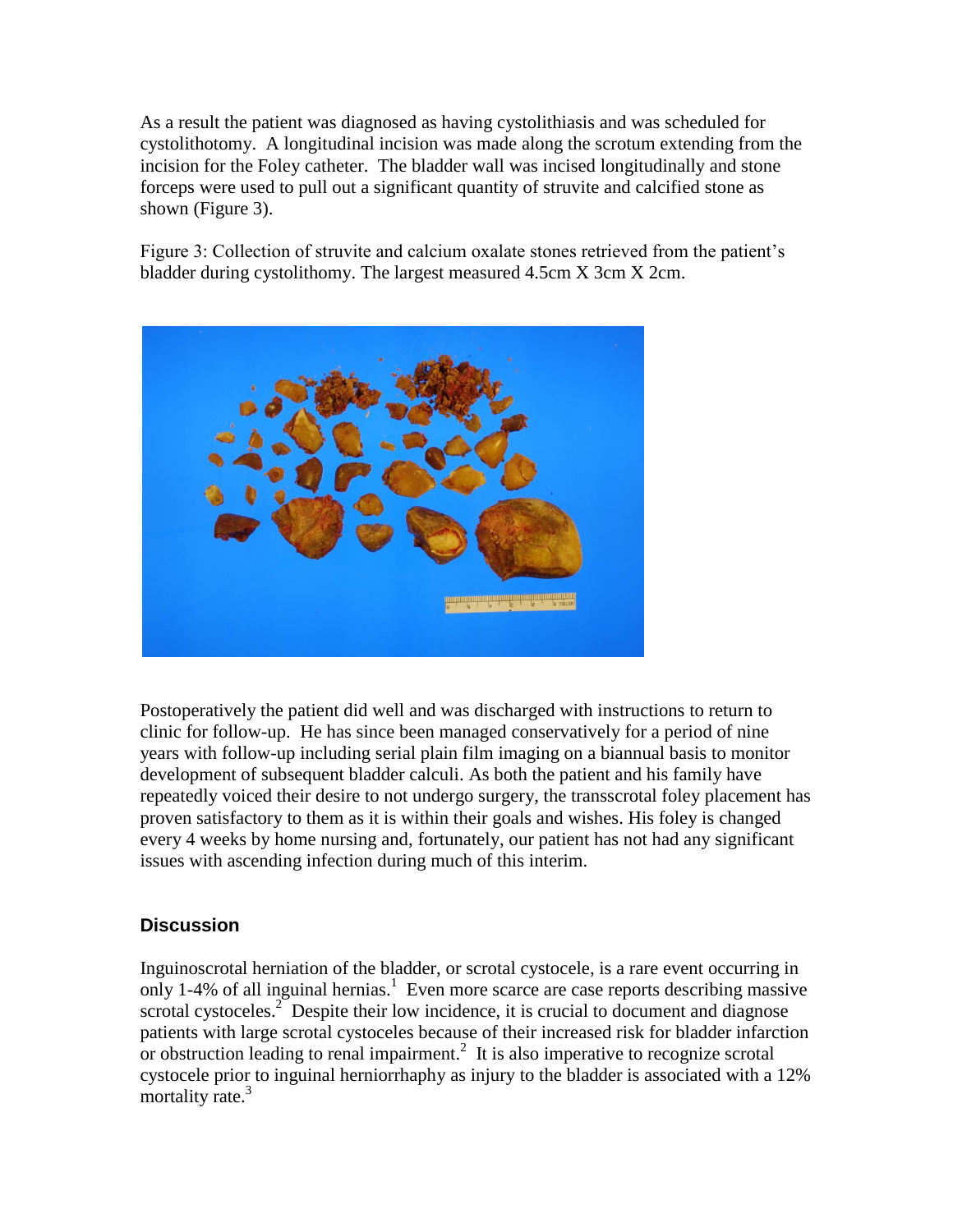As a result the patient was diagnosed as having cystolithiasis and was scheduled for cystolithotomy. A longitudinal incision was made along the scrotum extending from the incision for the Foley catheter. The bladder wall was incised longitudinally and stone forceps were used to pull out a significant quantity of struvite and calcified stone as shown (Figure 3).

Figure 3: Collection of struvite and calcium oxalate stones retrieved from the patient's bladder during cystolithomy. The largest measured 4.5cm X 3cm X 2cm.



Postoperatively the patient did well and was discharged with instructions to return to clinic for follow-up. He has since been managed conservatively for a period of nine years with follow-up including serial plain film imaging on a biannual basis to monitor development of subsequent bladder calculi. As both the patient and his family have repeatedly voiced their desire to not undergo surgery, the transscrotal foley placement has proven satisfactory to them as it is within their goals and wishes. His foley is changed every 4 weeks by home nursing and, fortunately, our patient has not had any significant issues with ascending infection during much of this interim.

## **Discussion**

Inguinoscrotal herniation of the bladder, or scrotal cystocele, is a rare event occurring in only 1-4% of all inguinal hernias. 1 Even more scarce are case reports describing massive scrotal cystoceles.<sup>2</sup> Despite their low incidence, it is crucial to document and diagnose patients with large scrotal cystoceles because of their increased risk for bladder infarction or obstruction leading to renal impairment.<sup>2</sup> It is also imperative to recognize scrotal cystocele prior to inguinal herniorrhaphy as injury to the bladder is associated with a 12% mortality rate.<sup>3</sup>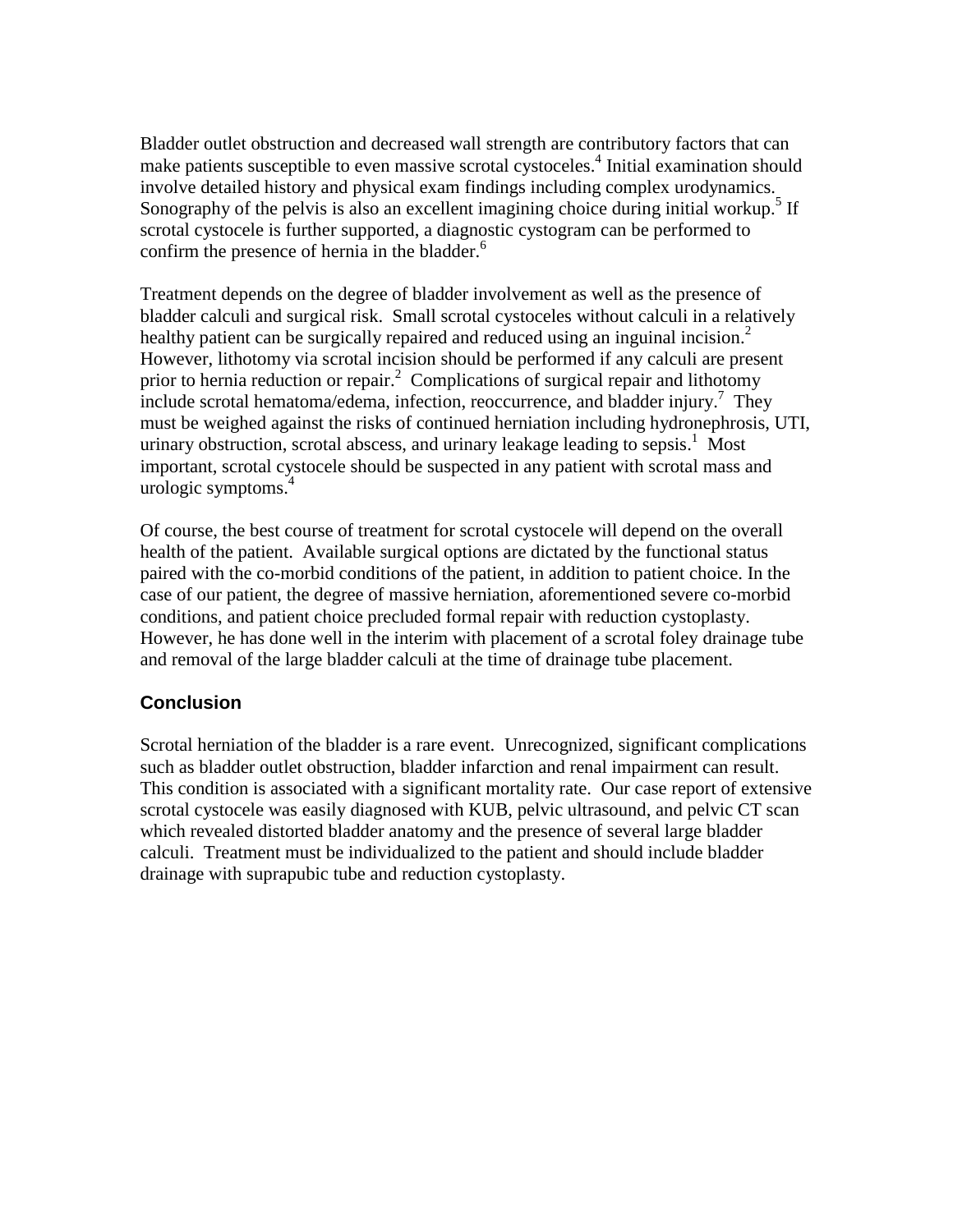Bladder outlet obstruction and decreased wall strength are contributory factors that can make patients susceptible to even massive scrotal cystoceles.<sup>4</sup> Initial examination should involve detailed history and physical exam findings including complex urodynamics. Sonography of the pelvis is also an excellent imagining choice during initial workup.<sup>5</sup> If scrotal cystocele is further supported, a diagnostic cystogram can be performed to confirm the presence of hernia in the bladder. 6

Treatment depends on the degree of bladder involvement as well as the presence of bladder calculi and surgical risk. Small scrotal cystoceles without calculi in a relatively healthy patient can be surgically repaired and reduced using an inguinal incision.<sup>2</sup> However, lithotomy via scrotal incision should be performed if any calculi are present prior to hernia reduction or repair.<sup>2</sup> Complications of surgical repair and lithotomy include scrotal hematoma/edema, infection, reoccurrence, and bladder injury.<sup>7</sup> They must be weighed against the risks of continued herniation including hydronephrosis, UTI, urinary obstruction, scrotal abscess, and urinary leakage leading to sepsis.<sup>1</sup> Most important, scrotal cystocele should be suspected in any patient with scrotal mass and urologic symptoms. 4

Of course, the best course of treatment for scrotal cystocele will depend on the overall health of the patient. Available surgical options are dictated by the functional status paired with the co-morbid conditions of the patient, in addition to patient choice. In the case of our patient, the degree of massive herniation, aforementioned severe co-morbid conditions, and patient choice precluded formal repair with reduction cystoplasty. However, he has done well in the interim with placement of a scrotal foley drainage tube and removal of the large bladder calculi at the time of drainage tube placement.

#### **Conclusion**

Scrotal herniation of the bladder is a rare event. Unrecognized, significant complications such as bladder outlet obstruction, bladder infarction and renal impairment can result. This condition is associated with a significant mortality rate. Our case report of extensive scrotal cystocele was easily diagnosed with KUB, pelvic ultrasound, and pelvic CT scan which revealed distorted bladder anatomy and the presence of several large bladder calculi. Treatment must be individualized to the patient and should include bladder drainage with suprapubic tube and reduction cystoplasty.